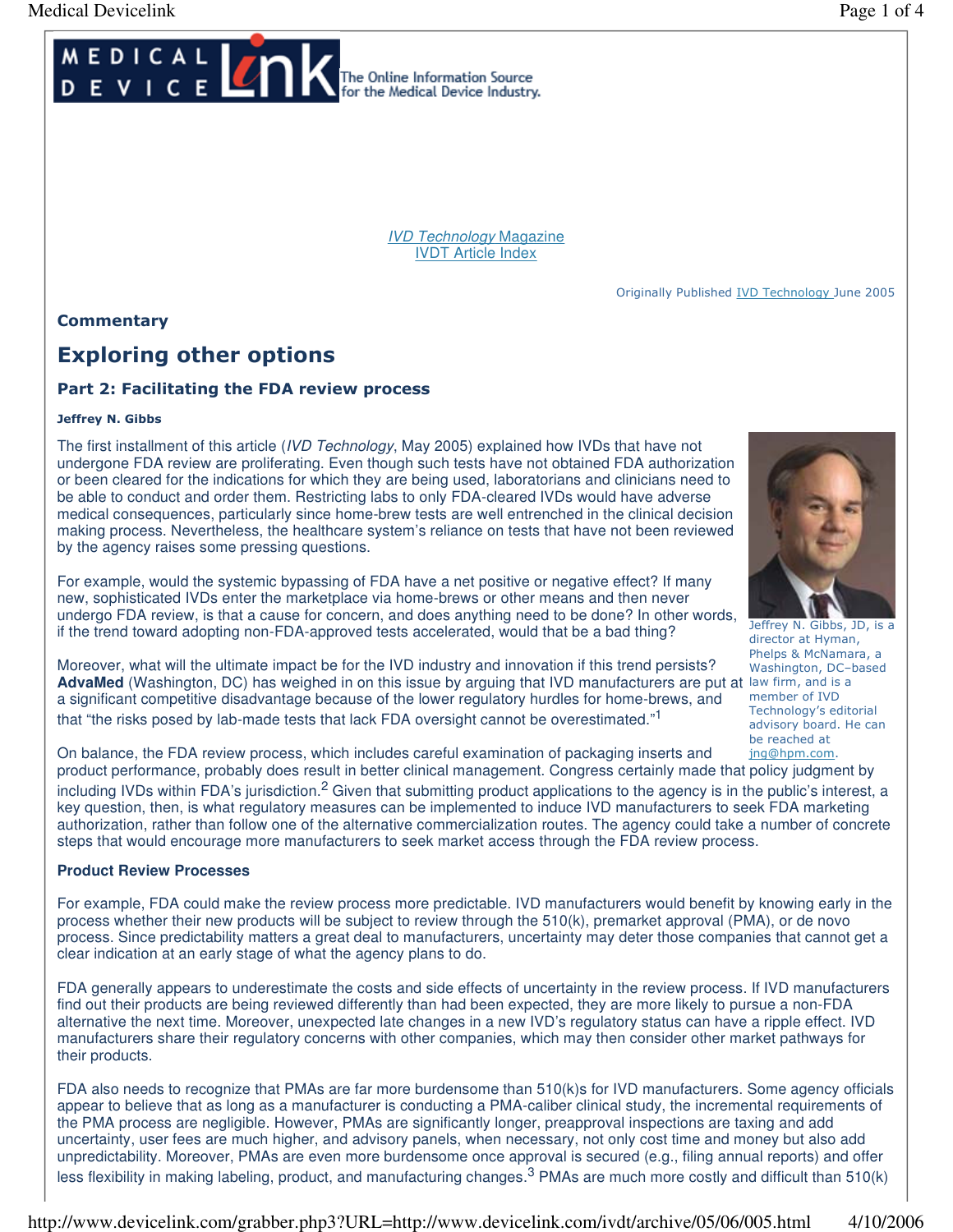

IVD Technology Magazine IVDT Article Index

[Originally Published IVD Technology June 2005](http://www.devicelink.com/ivdt/archive/05/06/005.html)

**Commentary** 

# Exploring other options

# Part 2: Facilitating the FDA review process

#### Jeffrey N. Gibbs

The first installment of this article (IVD Technology, May 2005) explained how IVDs that have not undergone FDA review are proliferating. Even though such tests have not obtained FDA authorization or been cleared for the indications for which they are being used, laboratorians and clinicians need to be able to conduct and order them. Restricting labs to only FDA-cleared IVDs would have adverse medical consequences, particularly since home-brew tests are well entrenched in the clinical decision making process. Nevertheless, the healthcare system's reliance on tests that have not been reviewed by the agency raises some pressing questions.

For example, would the systemic bypassing of FDA have a net positive or negative effect? If many new, sophisticated IVDs enter the marketplace via home-brews or other means and then never undergo FDA review, is that a cause for concern, and does anything need to be done? In other words, if the trend toward adopting non-FDA-approved tests accelerated, would that be a bad thing?



Jeffrey N. Gibbs, JD, is a director at Hyman, Phelps & McNamara, a Washington, DC–based member of IVD Technology's editorial advisory board. He can be reached at

Moreover, what will the ultimate impact be for the IVD industry and innovation if this trend persists? AdvaMed (Washington, DC) has weighed in on this issue by arguing that IVD manufacturers are put at law firm, and is a a significant competitive disadvantage because of the lower regulatory hurdles for home-brews, and that "the risks posed by lab-made tests that lack FDA oversight cannot be overestimated."<sup>1</sup>

On balance, the FDA review process, which includes careful examination of packaging inserts and product performance, probably does result in better clinical management. Congress certainly made that policy judgment by including IVDs within FDA's jurisdiction.<sup>2</sup> Given that submitting product applications to the agency is in the public's interest, a key question, then, is what regulatory measures can be implemented to induce IVD manufacturers to seek FDA marketing authorization, rather than follow one of the alternative commercialization routes. The agency could take a number of concrete steps that would encourage more manufacturers to seek market access through the FDA review process. jng@hpm.com.

#### **Product Review Processes**

For example, FDA could make the review process more predictable. IVD manufacturers would benefit by knowing early in the process whether their new products will be subject to review through the 510(k), premarket approval (PMA), or de novo process. Since predictability matters a great deal to manufacturers, uncertainty may deter those companies that cannot get a clear indication at an early stage of what the agency plans to do.

FDA generally appears to underestimate the costs and side effects of uncertainty in the review process. If IVD manufacturers find out their products are being reviewed differently than had been expected, they are more likely to pursue a non-FDA alternative the next time. Moreover, unexpected late changes in a new IVD's regulatory status can have a ripple effect. IVD manufacturers share their regulatory concerns with other companies, which may then consider other market pathways for their products.

FDA also needs to recognize that PMAs are far more burdensome than 510(k)s for IVD manufacturers. Some agency officials appear to believe that as long as a manufacturer is conducting a PMA-caliber clinical study, the incremental requirements of the PMA process are negligible. However, PMAs are significantly longer, preapproval inspections are taxing and add uncertainty, user fees are much higher, and advisory panels, when necessary, not only cost time and money but also add unpredictability. Moreover, PMAs are even more burdensome once approval is secured (e.g., filing annual reports) and offer less flexibility in making labeling, product, and manufacturing changes.<sup>3</sup> PMAs are much more costly and difficult than 510(k)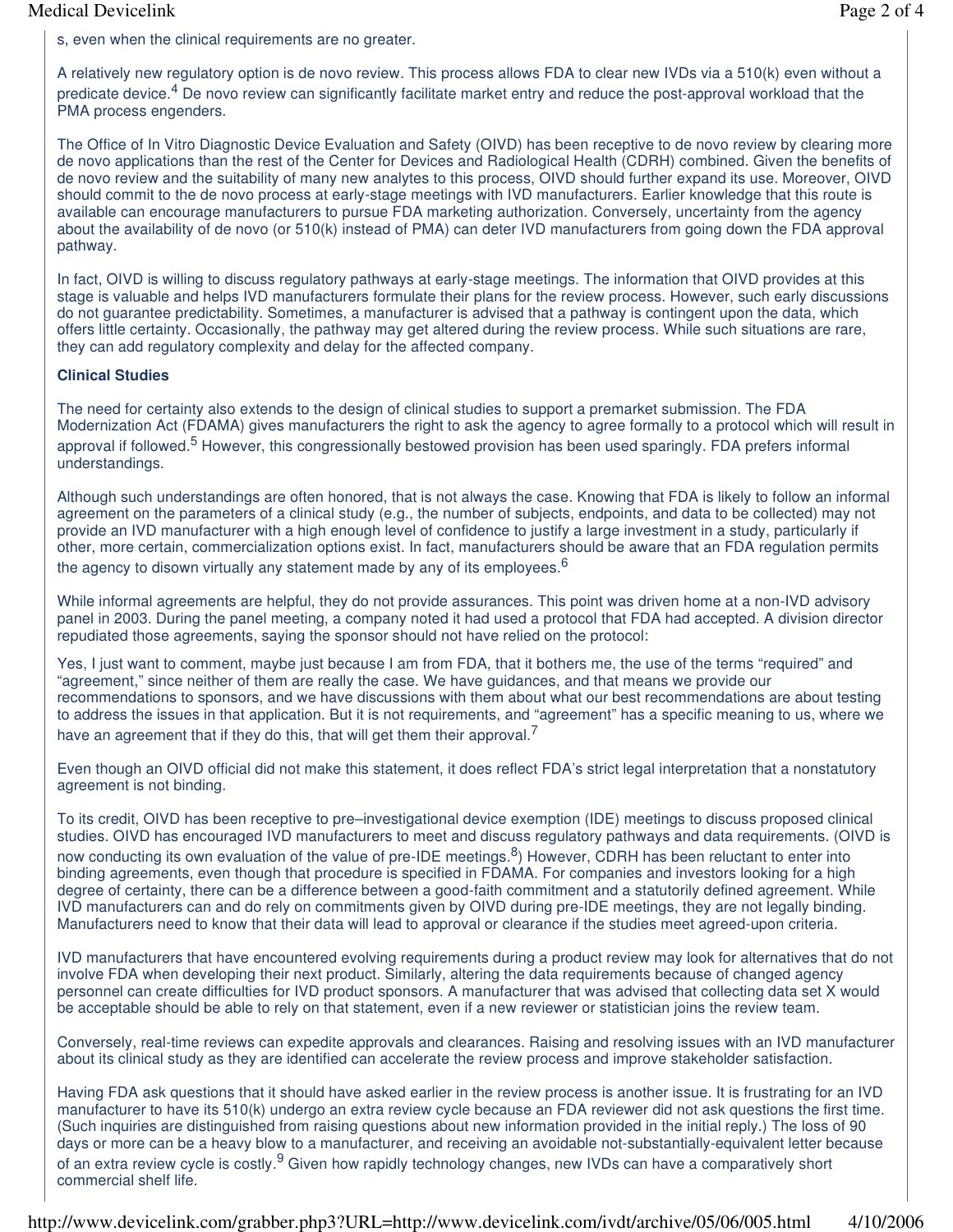#### Medical Devicelink Page 2 of 4

s, even when the clinical requirements are no greater.

A relatively new regulatory option is de novo review. This process allows FDA to clear new IVDs via a 510(k) even without a predicate device.<sup>4</sup> De novo review can significantly facilitate market entry and reduce the post-approval workload that the PMA process engenders.

The Office of In Vitro Diagnostic Device Evaluation and Safety (OIVD) has been receptive to de novo review by clearing more de novo applications than the rest of the Center for Devices and Radiological Health (CDRH) combined. Given the benefits of de novo review and the suitability of many new analytes to this process, OIVD should further expand its use. Moreover, OIVD should commit to the de novo process at early-stage meetings with IVD manufacturers. Earlier knowledge that this route is available can encourage manufacturers to pursue FDA marketing authorization. Conversely, uncertainty from the agency about the availability of de novo (or 510(k) instead of PMA) can deter IVD manufacturers from going down the FDA approval pathway.

In fact, OIVD is willing to discuss regulatory pathways at early-stage meetings. The information that OIVD provides at this stage is valuable and helps IVD manufacturers formulate their plans for the review process. However, such early discussions do not guarantee predictability. Sometimes, a manufacturer is advised that a pathway is contingent upon the data, which offers little certainty. Occasionally, the pathway may get altered during the review process. While such situations are rare, they can add regulatory complexity and delay for the affected company.

#### **Clinical Studies**

The need for certainty also extends to the design of clinical studies to support a premarket submission. The FDA Modernization Act (FDAMA) gives manufacturers the right to ask the agency to agree formally to a protocol which will result in approval if followed.<sup>5</sup> However, this congressionally bestowed provision has been used sparingly. FDA prefers informal understandings.

Although such understandings are often honored, that is not always the case. Knowing that FDA is likely to follow an informal agreement on the parameters of a clinical study (e.g., the number of subjects, endpoints, and data to be collected) may not provide an IVD manufacturer with a high enough level of confidence to justify a large investment in a study, particularly if other, more certain, commercialization options exist. In fact, manufacturers should be aware that an FDA regulation permits the agency to disown virtually any statement made by any of its employees.<sup>6</sup>

While informal agreements are helpful, they do not provide assurances. This point was driven home at a non-IVD advisory panel in 2003. During the panel meeting, a company noted it had used a protocol that FDA had accepted. A division director repudiated those agreements, saying the sponsor should not have relied on the protocol:

Yes, I just want to comment, maybe just because I am from FDA, that it bothers me, the use of the terms "required" and "agreement," since neither of them are really the case. We have guidances, and that means we provide our recommendations to sponsors, and we have discussions with them about what our best recommendations are about testing to address the issues in that application. But it is not requirements, and "agreement" has a specific meaning to us, where we have an agreement that if they do this, that will get them their approval.<sup>7</sup>

Even though an OIVD official did not make this statement, it does reflect FDA's strict legal interpretation that a nonstatutory agreement is not binding.

To its credit, OIVD has been receptive to pre–investigational device exemption (IDE) meetings to discuss proposed clinical studies. OIVD has encouraged IVD manufacturers to meet and discuss regulatory pathways and data requirements. (OIVD is now conducting its own evaluation of the value of pre-IDE meetings.<sup>8</sup>) However, CDRH has been reluctant to enter into binding agreements, even though that procedure is specified in FDAMA. For companies and investors looking for a high degree of certainty, there can be a difference between a good-faith commitment and a statutorily defined agreement. While IVD manufacturers can and do rely on commitments given by OIVD during pre-IDE meetings, they are not legally binding. Manufacturers need to know that their data will lead to approval or clearance if the studies meet agreed-upon criteria.

IVD manufacturers that have encountered evolving requirements during a product review may look for alternatives that do not involve FDA when developing their next product. Similarly, altering the data requirements because of changed agency personnel can create difficulties for IVD product sponsors. A manufacturer that was advised that collecting data set X would be acceptable should be able to rely on that statement, even if a new reviewer or statistician joins the review team.

Conversely, real-time reviews can expedite approvals and clearances. Raising and resolving issues with an IVD manufacturer about its clinical study as they are identified can accelerate the review process and improve stakeholder satisfaction.

Having FDA ask questions that it should have asked earlier in the review process is another issue. It is frustrating for an IVD manufacturer to have its 510(k) undergo an extra review cycle because an FDA reviewer did not ask questions the first time. (Such inquiries are distinguished from raising questions about new information provided in the initial reply.) The loss of 90 days or more can be a heavy blow to a manufacturer, and receiving an avoidable not-substantially-equivalent letter because of an extra review cycle is costly.<sup>9</sup> Given how rapidly technology changes, new IVDs can have a comparatively short commercial shelf life.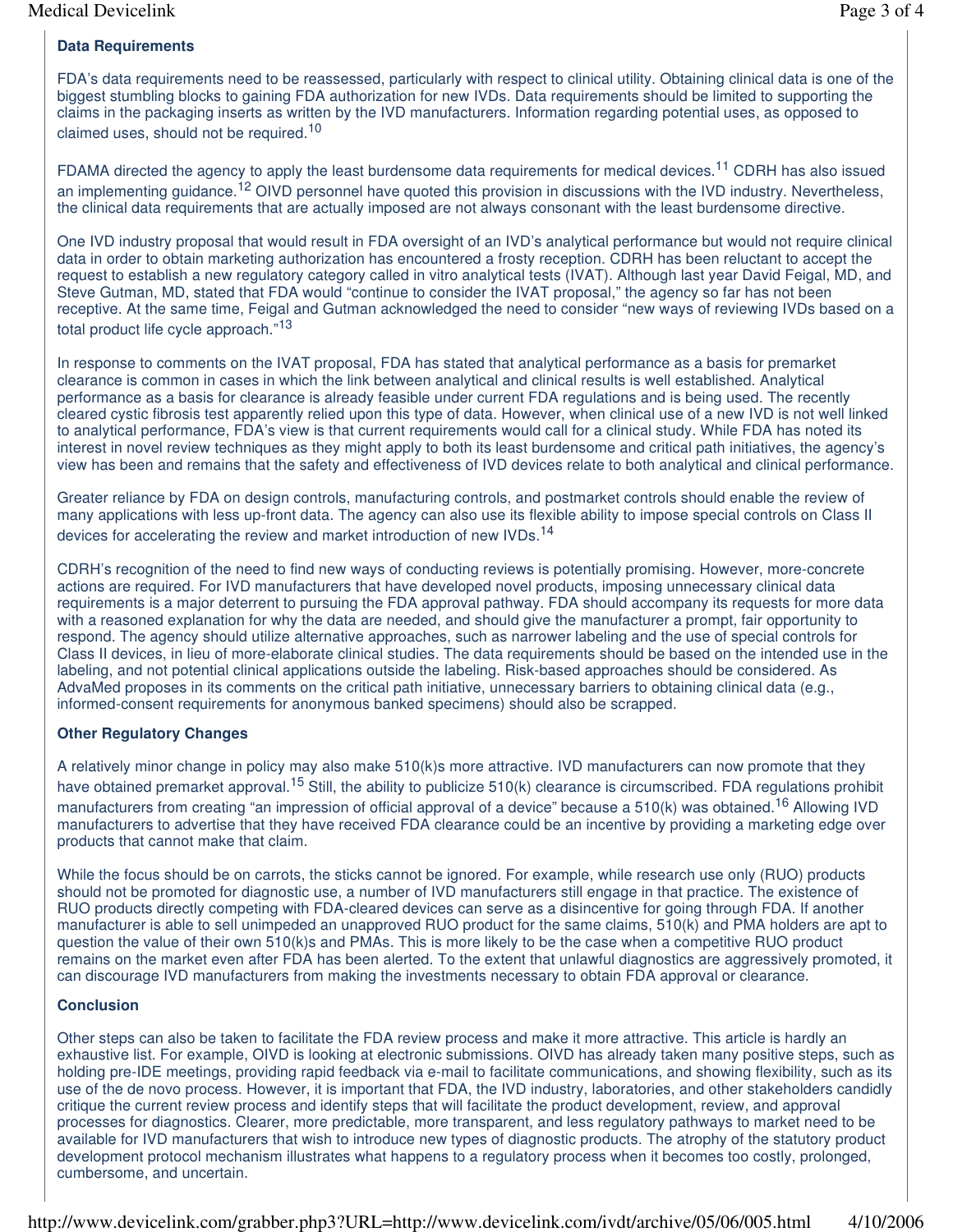# **Data Requirements**

FDA's data requirements need to be reassessed, particularly with respect to clinical utility. Obtaining clinical data is one of the biggest stumbling blocks to gaining FDA authorization for new IVDs. Data requirements should be limited to supporting the claims in the packaging inserts as written by the IVD manufacturers. Information regarding potential uses, as opposed to claimed uses, should not be required.<sup>10</sup>

FDAMA directed the agency to apply the least burdensome data requirements for medical devices.<sup>11</sup> CDRH has also issued an implementing quidance.<sup>12</sup> OIVD personnel have quoted this provision in discussions with the IVD industry. Nevertheless, the clinical data requirements that are actually imposed are not always consonant with the least burdensome directive.

One IVD industry proposal that would result in FDA oversight of an IVD's analytical performance but would not require clinical data in order to obtain marketing authorization has encountered a frosty reception. CDRH has been reluctant to accept the request to establish a new regulatory category called in vitro analytical tests (IVAT). Although last year David Feigal, MD, and Steve Gutman, MD, stated that FDA would "continue to consider the IVAT proposal," the agency so far has not been receptive. At the same time, Feigal and Gutman acknowledged the need to consider "new ways of reviewing IVDs based on a total product life cycle approach."<sup>13</sup>

In response to comments on the IVAT proposal, FDA has stated that analytical performance as a basis for premarket clearance is common in cases in which the link between analytical and clinical results is well established. Analytical performance as a basis for clearance is already feasible under current FDA regulations and is being used. The recently cleared cystic fibrosis test apparently relied upon this type of data. However, when clinical use of a new IVD is not well linked to analytical performance, FDA's view is that current requirements would call for a clinical study. While FDA has noted its interest in novel review techniques as they might apply to both its least burdensome and critical path initiatives, the agency's view has been and remains that the safety and effectiveness of IVD devices relate to both analytical and clinical performance.

Greater reliance by FDA on design controls, manufacturing controls, and postmarket controls should enable the review of many applications with less up-front data. The agency can also use its flexible ability to impose special controls on Class II devices for accelerating the review and market introduction of new IVDs.<sup>14</sup>

CDRH's recognition of the need to find new ways of conducting reviews is potentially promising. However, more-concrete actions are required. For IVD manufacturers that have developed novel products, imposing unnecessary clinical data requirements is a major deterrent to pursuing the FDA approval pathway. FDA should accompany its requests for more data with a reasoned explanation for why the data are needed, and should give the manufacturer a prompt, fair opportunity to respond. The agency should utilize alternative approaches, such as narrower labeling and the use of special controls for Class II devices, in lieu of more-elaborate clinical studies. The data requirements should be based on the intended use in the labeling, and not potential clinical applications outside the labeling. Risk-based approaches should be considered. As AdvaMed proposes in its comments on the critical path initiative, unnecessary barriers to obtaining clinical data (e.g., informed-consent requirements for anonymous banked specimens) should also be scrapped.

## **Other Regulatory Changes**

A relatively minor change in policy may also make 510(k)s more attractive. IVD manufacturers can now promote that they have obtained premarket approval.<sup>15</sup> Still, the ability to publicize 510(k) clearance is circumscribed. FDA regulations prohibit manufacturers from creating "an impression of official approval of a device" because a 510(k) was obtained.<sup>16</sup> Allowing IVD manufacturers to advertise that they have received FDA clearance could be an incentive by providing a marketing edge over products that cannot make that claim.

While the focus should be on carrots, the sticks cannot be ignored. For example, while research use only (RUO) products should not be promoted for diagnostic use, a number of IVD manufacturers still engage in that practice. The existence of RUO products directly competing with FDA-cleared devices can serve as a disincentive for going through FDA. If another manufacturer is able to sell unimpeded an unapproved RUO product for the same claims, 510(k) and PMA holders are apt to question the value of their own 510(k)s and PMAs. This is more likely to be the case when a competitive RUO product remains on the market even after FDA has been alerted. To the extent that unlawful diagnostics are aggressively promoted, it can discourage IVD manufacturers from making the investments necessary to obtain FDA approval or clearance.

## **Conclusion**

Other steps can also be taken to facilitate the FDA review process and make it more attractive. This article is hardly an exhaustive list. For example, OIVD is looking at electronic submissions. OIVD has already taken many positive steps, such as holding pre-IDE meetings, providing rapid feedback via e-mail to facilitate communications, and showing flexibility, such as its use of the de novo process. However, it is important that FDA, the IVD industry, laboratories, and other stakeholders candidly critique the current review process and identify steps that will facilitate the product development, review, and approval processes for diagnostics. Clearer, more predictable, more transparent, and less regulatory pathways to market need to be available for IVD manufacturers that wish to introduce new types of diagnostic products. The atrophy of the statutory product development protocol mechanism illustrates what happens to a regulatory process when it becomes too costly, prolonged, cumbersome, and uncertain.